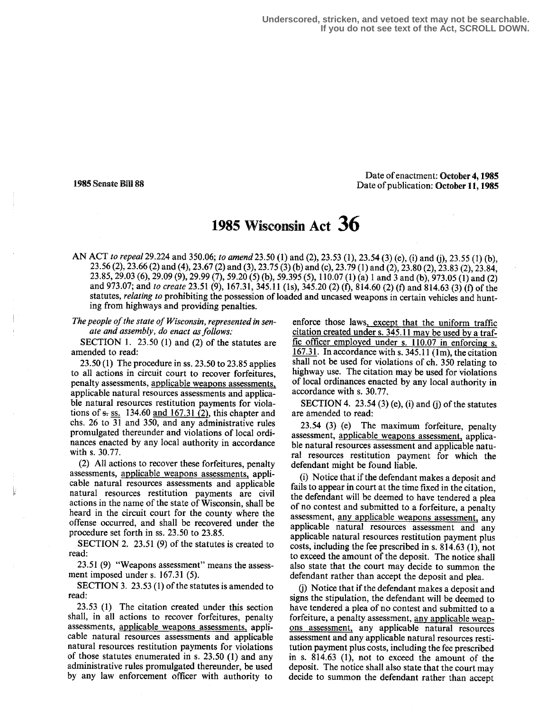**Underscored, stricken, and vetoed text may not be searchable. If you do not see text of the Act, SCROLL DOWN.**

#### Date of enactment: October 4, 1985 1985 Senate Bill 88 Date of publication: October 11, 1985

# 195 Wisconsin Act 36

AN ACT to repeal 29.224 and 350.06; to amend 23.50 (1) and (2), 23.53 (1), 23.54 (3) (e), (i) and (j), 23.55 (1) (b), 23 .56 (2), 23.66 (2) and (4), 23.67 (2) and (3), 23 .75 (3) (b) and (c), 23.79 (1) and (2), 23.80 (2), 23 .83 (2), 23 .84, 23 .85, 29.03 (6), 29.09 (9), 29.99 (7), 59.20 (5) (b), 59.395 (5), 110.07 (1) (a) 1 and 3 and (b), 973 .05 (1) and (2) and 973.07; and to create 23.51 (9), 167.31, 345.11 (1s), 345.20 (2) (f), 814.60 (2) (f) and 814.63 (3) (f) of the statutes, relating to prohibiting the possession of loaded and uncased weapons in certain vehicles and hunting from highways and providing penalties.

The people of the state of Wisconsin, represented in senate and assembly, do enact as follows:

SECTION 1. 23.50 (1) and (2) of the statutes are amended to read:

23.50 (1) The procedure in ss . 23.50 to 23.85 applies to all actions in circuit court to recover forfeitures, penalty assessments, applicable weapons assessments, applicable natural resources assessments and applicable natural resources restitution payments for violations of  $s$ - ss. 134.60 and 167.31 (2), this chapter and chs. 26 to 31 and 350, and any administrative rules promulgated thereunder and violations of local ordinances enacted by any local authority in accordance with s. 30.77.

(2) All actions to recover these forfeitures, penalty assessments, applicable weapons assessments, applicable natural resources assessments and applicable natural resources restitution payments are civil actions in the name of the state of Wisconsin, shall be heard in the circuit court for the county where the offense occurred, and shall be recovered under the procedure set forth in ss . 23.50 to 23.85.

SECTION 2. 23 .51 (9) of the statutes is created to read:

23 .51 (9) "Weapons assessment" means the assessment imposed under s.  $167.31$  (5).

SECTION 3. 23.53  $(1)$  of the statutes is amended to read:

23.53 (1) The citation created under this section shall, in all actions to recover forfeitures, penalty assessments, applicable weapons assessments, applicable natural resources assessments and applicable natural resources restitution payments for violations of those statutes enumerated in s.  $23.50$  (1) and any administrative rules promulgated thereunder, be used by any law enforcement officer with authority to

enforce those laws, except that the uniform traffic citation created under s. 345.11 may be used by a traffic officer employed under s. 110.07 in enforcing s. 167.31. In accordance with s.  $345.11$  (1m), the citation shall not be used for violations of ch. 350 relating to highway use. The citation may be used for violations of local ordinances enacted by any local authority in accordance with s. 30.77.

SECTION 4. 23.54 (3) (e), (i) and (j) of the statutes are amended to read:

23.54 (3) (e) The maximum forfeiture, penalty assessment, applicable weapons assessment, applicable natural resources assessment and applicable natural resources restitution payment for which the defendant might be found liable.

(i) Notice that if the defendant makes a deposit and fails to appear in court at the time fixed in the citation, the defendant will be deemed to have tendered a plea of no contest and submitted to a forfeiture, a penalty assessment, any applicable weapons assessment, any applicable natural resources assessment and any applicable natural resources restitution payment plus costs, including the fee prescribed in s. 814.63 (1), not to exceed the amount of the deposit. The notice shall also state that the court may decide to summon the defendant rather than accept the deposit and plea.

(j) Notice that if the defendant makes a deposit and signs the stipulation, the defendant will be deemed to have tendered a plea of no contest and submitted to a forfeiture, a penalty assessment, any applicable weapons assessment, any applicable natural resources assessment and any applicable natural resources restitution payment plus costs, including the fee prescribed in s. 814.63 (1), not to exceed the amount of the deposit. The notice shall also state that the court may decide to summon the defendant rather than accept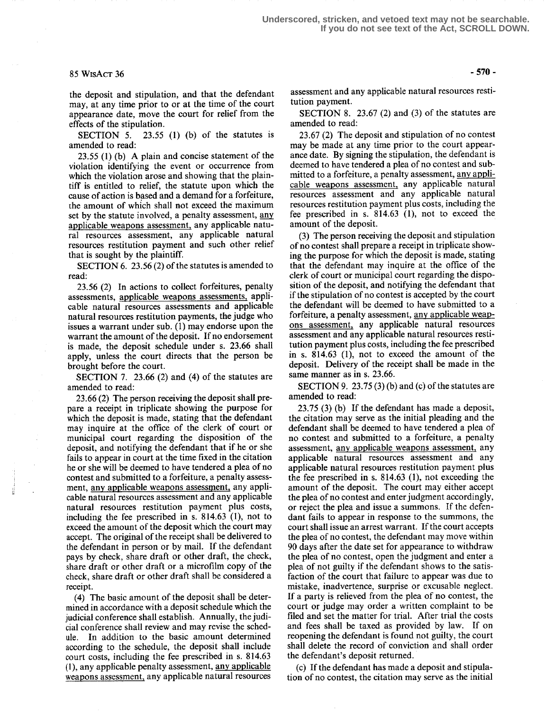# $85 WISACT 36 -570 -$

the deposit and stipulation, and that the defendant may, at any time prior to or at the time of the court appearance date, move the court for relief from the effects of the stipulation.

SECTION 5. 23.55 (1) (b) of the statutes is amended to read:

23.55 (1) (b) A plain and concise statement of the violation identifying the event or occurrence from which the violation arose and showing that the plaintiff is entitled to relief, the statute upon which the cause of action is based and a demand for a forfeiture, the amount of which shall not exceed the maximum set by the statute involved, a penalty assessment, any applicable weapons assessment, any applicable natural resources assessment, any applicable natural resources restitution payment and such other relief that is sought by the plaintiff.

SECTION 6. 23 .56 (2) of the statutes is amended to read:

23.56 (2) In actions to collect forfeitures, penalty assessments, applicable weapons assessments, applicable natural resources assessments and applicable natural resources restitution payments, the judge who issues a warrant under sub. (1) may endorse upon the warrant the amount of the deposit. If no endorsement is made, the deposit schedule under s. 23 .66 shall apply, unless the court directs that the person be brought before the court.

SECTION 7. 23.66  $(2)$  and  $(4)$  of the statutes are amended to read:

23.66 (2) The person receiving the deposit shall prepare a receipt in triplicate showing the purpose for which the deposit is made, stating that the defendant may inquire at the office of the clerk of court or municipal court regarding the disposition of the deposit, and notifying the defendant that if he or she fails to appear in court at the time fixed in the citation he or she will be deemed to have tendered a plea of no contest and submitted to a forfeiture, a penalty assessment, any applicable weapons assessment, any applicable natural resources assessment and any applicable natural resources restitution payment plus costs, including the fee prescribed in s. 814.63 (1), not to exceed the amount of the deposit which the court may accept. The original of the receipt shall be delivered to the defendant in person or by mail. If the defendant pays by check, share draft or other draft, the check, share draft or other draft or a microfilm copy of the check, share draft or other draft shall be considered a receipt.

(4) The basic amount of the deposit shall be determined in accordance with a deposit schedule which the judicial conference shall establish. Annually, the judicial conference shall review and may revise the schedule. In addition to the basic amount determined according to the schedule, the deposit shall include court costs, including the fee prescribed in s. 814.63 (1), any applicable penalty assessment, any applicable weapons assessment, any applicable natural resources assessment and any applicable natural resources restitution payment.

SECTION 8. 23.67 (2) and (3) of the statutes are amended to read:

23 .67 (2) The deposit and stipulation of no contest may be made at any time prior to the court appearance date. By signing the stipulation, the defendant is deemed to have tendered a plea of no contest and submitted to a forfeiture, a penalty assessment, any applicable weapons assessment, any applicable natural resources assessment and any applicable natural resources restitution payment plus costs, including the fee prescribed in s. 814.63 (1), not to exceed the amount of the deposit.

(3) The person receiving the deposit and stipulation of no contest shall prepare a receipt in triplicate showing the purpose for which the deposit is made, stating that the defendant may inquire at the office of the clerk of court or municipal court regarding the disposition of the deposit, and notifying the defendant that if the stipulation of no contest is accepted by the court the defendant will be deemed to have submitted to a forfeiture, a penalty assessment, any applicable weapons assessment, any applicable natural resources assessment and any applicable natural resources restitution payment plus costs, including the fee prescribed in s. 814.63 (1), not to exceed the amount of the deposit. Delivery of the receipt shall be made in the same manner as in s. 23.66.

SECTION 9. 23.75 $(3)$  (b) and (c) of the statutes are amended to read:

23.75 (3) (b) If the defendant has made a deposit, the citation may serve as the initial pleading and the defendant shall be deemed to have tendered a plea of no contest and submitted to a forfeiture, a penalty assessment, any applicable weapons assessment, any applicable natural resources assessment and any applicable natural resources restitution payment plus the fee prescribed in s. 814.63 (1), not exceeding the amount of the deposit. The court may either accept the plea of no contest and enter judgment accordingly, or reject the plea and issue a summons. If the defendant fails to appear in response to the summons, the court shall issue an arrest warrant. If the court accepts the plea of no contest, the defendant may move within 90 days after the date set for appearance to withdraw the plea of no contest, open the judgment and enter a plea of not guilty if the defendant shows to the satisfaction of the court that failure to appear was due to mistake, inadvertence, surprise or excusable neglect. If a party is relieved from the plea of no contest, the court or judge may order a written complaint to be filed and set the matter for trial. After trial the costs and fees shall be taxed as provided by law. If on reopening the defendant is found not guilty, the court shall delete the record of conviction and shall order the defendant's deposit returned.

(c) If the defendant has made a deposit and stipulation of no contest, the citation may serve as the initial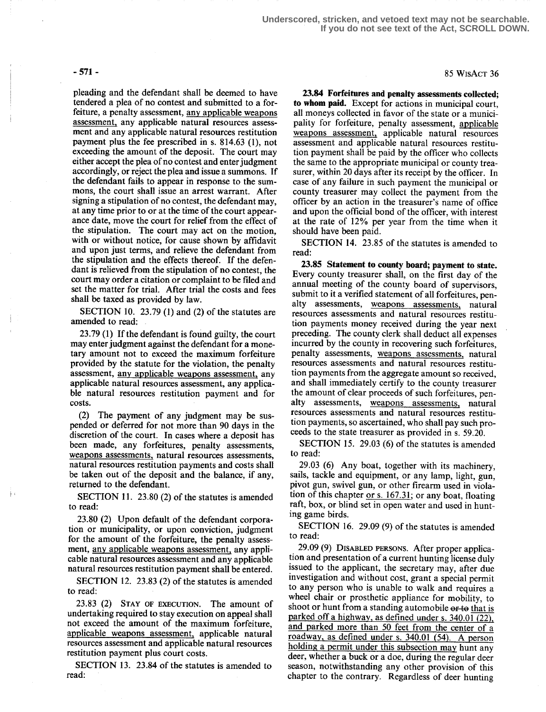pleading and the defendant shall be deemed to have tendered a plea of no contest and submitted to a forfeiture, a penalty assessment, any applicable weapons assessment, any applicable natural resources assessment and any applicable natural resources restitution payment plus the fee prescribed in s. 814.63 (1), not exceeding the amount of the deposit. The court may either accept the plea of no contest and enter judgment accordingly, or reject the plea and issue a summons. If the defendant fails to appear in response to the summons, the court shall issue an arrest warrant. After signing a stipulation of no contest, the defendant may, at any time prior to or at the time of the court appearance date, move the court for relief from the effect of the stipulation. The court may act on the motion, with or without notice, for cause shown by affidavit and upon just terms, and relieve the defendant from the stipulation and the effects thereof. If the defendant is relieved from the stipulation of no contest, the court may order a citation or complaint to be filed and set the matter for trial. After trial the costs and fees shall be taxed as provided by law.

SECTION 10. 23.79 (1) and (2) of the statutes are amended to read:

23.79 (1) If the defendant is found guilty, the court may enter judgment against the defendant for a monetary amount not to exceed the maximum forfeiture provided by the statute for the violation, the penalty assessment, any applicable weapons assessment, any applicable natural resources assessment, any applicable natural resources restitution payment and for costs.

(2) The payment of any judgment may be suspended or deferred for not more than 90 days in the discretion of the court. In cases where a deposit has been made, any forfeitures, penalty assessments, weapons assessments, natural resources assessments, natural resources restitution payments and costs shall be taken out of the deposit and the balance, if any, returned to the defendant.

SECTION 11. 23.80 (2) of the statutes is amended to read:

23.80 (2) Upon default of the defendant corporation or municipality, or upon conviction, judgment for the amount of the forfeiture, the penalty assessment, any applicable weapons assessment, any applicable natural resources assessment and any applicable natural resources restitution payment shall be entered.

SECTION 12. 23.83 (2) of the statutes is amended to read:

23.83 (2) STAY OF EXECUTION. The amount of undertaking required to stay execution on appeal shall not exceed the amount of the maximum forfeiture, applicable weapons assessment, applicable natural resources assessment and applicable natural resources restitution payment plus court costs.

SECTION 13. 23.84 of the statutes is amended to read:

 $-571$  - 85 WisAct 36

23.84 Forfeitures and penalty assessments collected; to whom paid. Except for actions in municipal court, all moneys collected in favor of the state or a municipality for forfeiture, penalty assessment, applicable weapons assessment, applicable natural resources assessment and applicable natural resources restitution payment shall be paid by the officer who collects the same to the appropriate municipal or county treasurer, within 20 days after its receipt by the officer. In case of any failure in such payment the municipal or county treasurer may collect the payment from the officer by an action in the treasurer's name of office and upon the official bond of the officer, with interest at the rate of 12% per year from the time when it should have been paid.

SECTION 14. 23.85 of the statutes is amended to read:

23.85 Statement to county board; payment to state. Every county treasurer shall, on the first day of the annual meeting of the county board of supervisors, submit to it a verified statement of all forfeitures, penalty assessments, weapons assessments, natural resources assessments and natural resources restitution payments money received during the year next preceding. The county clerk shall deduct all expenses incurred by the county in recovering such forfeitures, penalty assessments, weapons assessments, natural resources assessments and natural resources restitution payments from the aggregate amount so received, and shall immediately certify to the county treasurer the amount of clear proceeds of such forfeitures, penalty assessments, weapons assessments, natural resources assessments and natural resources restitution payments, so ascertained, who shall pay such proceeds to the state treasurer as provided in s. 59.20.

SECTION 15. 29.03 (6) of the statutes is amended to read:

29.03 (6) Any boat, together with its machinery, sails, tackle and equipment, or any lamp, light, gun, pivot gun, swivel gun, or other firearm used in violation of this chapter or  $s$ . 167.31; or any boat, floating raft, box, or blind set in open water and used in hunting game birds.

SECTION 16. 29.09 (9) of the statutes is amended to read:

29.09 (9) DISABLED PERSONS. After proper application and presentation of a current hunting license duly issued to the applicant, the secretary may, after due investigation and without cost, grant a special permit to any person who is unable to walk and requires a wheel chair or prosthetic appliance for mobility, to shoot or hunt from a standing automobile or to that is parked off a highway, as defined under s. 340.01 (22), and parked more than 50 feet from the center of a roadway, as defined under s. 340.01 (54). A person holding a permit under this subsection may hunt any deer, whether a buck or a doe, during the regular deer season, notwithstanding any other provision of this chapter to the contrary. Regardless of deer hunting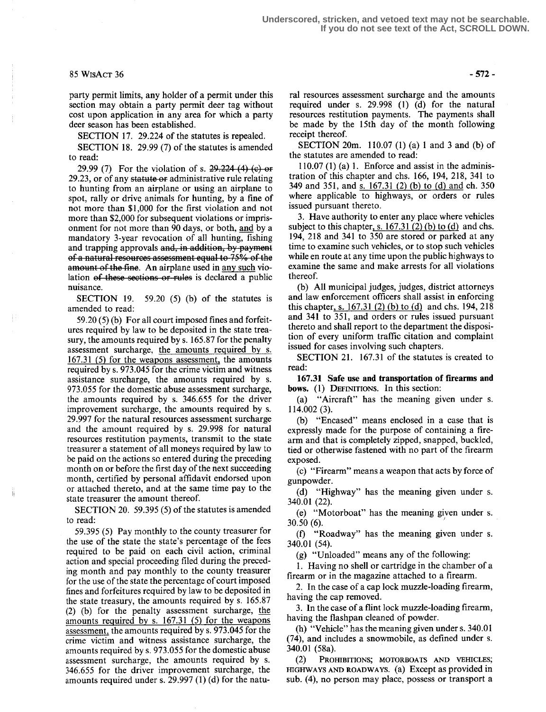### $85 WisACT 36$  - 572 -

party permit limits, any holder of a permit under this section may obtain a party permit deer tag without cost upon application in any area for which a party deer season has been established.

SECTION 17. 29.224 of the statutes is repealed.

SECTION 18. 29.99 (7) of the statutes is amended to read:

29.99 (7) For the violation of s.  $29.224$  (4) (e) or 29.23, or of any statute or administrative rule relating to hunting from an airplane or using an airplane to spot, rally or drive animals for hunting, by a fine of not more than \$1,000 for the first violation and not more than \$2,000 for subsequent violations or imprisonment for not more than 90 days, or both, and by a mandatory 3-year revocation of all hunting, fishing and trapping approvals and, in addition, by payment of a natural resources assessment equal to 75% of the amount of the fine. An airplane used in any such violation of these sections or rules is declared a public nuisance.

SECTION 19. 59.20 (5) (b) of the statutes is amended to read:

59.20 (5) (b) For all court imposed fines and forfeitures required by law to be deposited in the state treasury, the amounts required by s. 165.87 for the penalty assessment surcharge, the amounts required by s. 167.31 (5) for the weapons assessment, the amounts required by s. 973 .045 for the crime victim and witness assistance surcharge, the amounts required by s. 973.055 for the domestic abuse assessment surcharge, the amounts required by s. 346.655 for the driver improvement surcharge, the amounts required by s. 29 .997 for the natural resources assessment surcharge and the amount required by s. 29.998 for natural resources restitution payments, transmit to the state treasurer a statement of all moneys required by law to be paid on the actions so entered during the preceding month on or before the first day of the next succeeding month, certified by personal affidavit endorsed upon or attached thereto, and at the same time pay to the state treasurer the amount thereof.

SECTION 20. 59.395 (5) of the statutes is amended to read:

59.395 (5) Pay monthly to the county treasurer for the use of the state the state's percentage of the fees required to be paid on each civil action, criminal action and special proceeding filed during the preceding month and pay monthly to the county treasurer for the use of the state the percentage of court imposed fines and forfeitures required by law to be deposited in the state treasury, the amounts required by s. 165.87 (2) (b) for the penalty assessment surcharge, the amounts required by s. 167.31 (5) for the weapons assessment, the amounts required by s. 973.045 for the crime victim and witness assistance surcharge, the amounts required by s. 973.055 for the domestic abuse assessment surcharge, the amounts required by s. 346.655 for the driver improvement surcharge, the amounts required under s. 29 .997 (1) (d) for the natu-

ral resources assessment surcharge and the amounts required under s. 29.998 (1) (d) for the natural resources restitution payments . The payments shall be made by the 15th day of the month following receipt thereof.

SECTION 20m. 110.07 (1) (a) 1 and 3 and (b) of the statutes are amended to read:

 $110.07$  (1) (a) 1. Enforce and assist in the administration of this chapter and chs. 166, 194, 218, 341 to 349 and 351, and s. 167.31 (2) (b) to (d) and ch. 350 where applicable to highways, or orders or rules issued pursuant thereto.

3. Have authority to enter any place where vehicles subject to this chapter, s.  $167.31$  (2) (b) to (d) and chs. 194, 218 and 341 to 350 are stored or parked at any time to examine such vehicles, or to stop such vehicles while en route at any time upon the public highways to examine the same and make arrests for all violations thereof.

(b) All municipal judges, judges, district attorneys and law enforcement officers shall assist in enforcing this chapter, s. 167.31 (2) (b) to (d) and chs. 194, 218 and 341 to 351, and orders or rules issued pursuant thereto and shall report to the department the disposition of every uniform traffic citation and complaint issued for cases involving such chapters.

SECTION 21. 167.31 of the statutes is created to read:

167.31 Safe use and transportation of firearms and bows. (1) DEFINITIONS. In this section:<br>(a) "Aircraft" has the meaning gi

"Aircraft" has the meaning given under s. 114.002 (3).

(b) "Encased" means enclosed in a case that is expressly made for the purpose of containing a firearm and that is completely zipped, snapped, buckled, tied or otherwise fastened with no part of the firearm exposed.

(c) "Firearm" means a weapon that acts by force of gunpowder.

(d) "Highway" has the meaning given under s. 340.01 (22) .

(e) "Motorboat" has the meaning given under s. 30.50(6).

(f) "Roadway" has the meaning given under s. 340.01 (54) .

(g) "Unloaded" means any of the following:

1. Having no shell or cartridge in the chamber of a firearm or in the magazine attached to a firearm.

2. In the case of a cap lock muzzle-loading firearm, having the cap removed.

3. In the case of a flint lock muzzle-loading firearm, having the flashpan cleaned of powder.

(h) "Vehicle" has the meaning given under s. 340 .01 (74), and includes a snowmobile, as defined under s. 340.01 (58a).

PROHIBITIONS; MOTORBOATS AND VEHICLES;  $(2)$ HIGHWAYS AND ROADWAYS. (a) Except as provided in sub. (4), no person may place, possess or transport a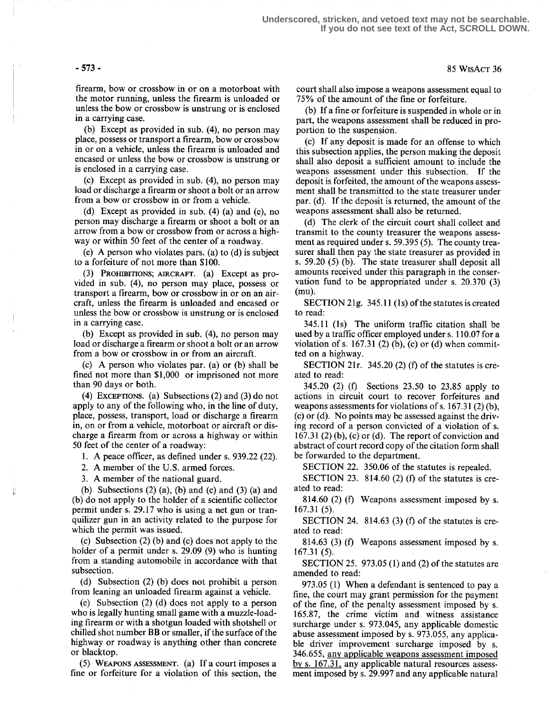firearm, bow or crossbow in or on a motorboat with the motor running, unless the firearm is unloaded or unless the bow or crossbow is unstrung or is enclosed in a carrying case.

(b) Except as provided in sub. (4), no person may place, possess or transport a firearm, bow or crossbow in or on a vehicle, unless the firearm is unloaded and encased or unless the bow or crossbow is unstrung or is enclosed in a carrying case.

(c) Except as provided in sub. (4), no person may load or discharge a firearm or shoot a bolt or an arrow from a bow or crossbow in or from a vehicle.

(d) Except as provided in sub. (4) (a) and (e), no person may discharge a firearm or shoot a bolt or an arrow from a bow or crossbow from or across a highway or within 50 feet of the center of a roadway.

(e) A person who violates pars. (a) to (d) is subject to a forfeiture of not more than \$100.

(3) PROHIBITIONS; AIRCRAFT. (a) Except as provided in sub. (4), no person may place, possess or transport a firearm, bow or crossbow in or on an aircraft, unless the firearm is unloaded and encased or unless the bow or crossbow is unstrung or is enclosed in a carrying case.

(b) Except as provided in sub. (4), no person may load or discharge a firearm or shoot a bolt or an arrow from a bow or crossbow in or from an aircraft.

(c) A person who violates par. (a) or (b) shall be fined not more than \$1,000 or imprisoned not more than 90 days or both.

(4) EXCEPTIONS. (a) Subsections  $(2)$  and  $(3)$  do not apply to any of the following who, in the line of duty, place, possess, transport, load or discharge a firearm in, on or from a vehicle, motorboat or aircraft or discharge a firearm from or across a highway or within 50 feet of the center of a roadway:

1. A peace officer, as defined under s. 939.22 (22).

2. A member of the U.S. armed forces.

3. A member of the national guard.

(b) Subsections  $(2)$   $(a)$ ,  $(b)$  and  $(c)$  and  $(3)$   $(a)$  and (b) do not apply to the holder of a scientific collector permit under s. 29.17 who is using a net gun or tranquilizer gun in an activity related to the purpose for which the permit was issued.

(c) Subsection (2) (b) and (c) does not apply to the holder of a permit under s. 29.09 (9) who is hunting from a standing automobile in accordance with that subsection.

(d) Subsection (2) (b) does not prohibit a person from leaning an unloaded firearm against a vehicle.

(e) Subsection (2) (d) does not apply to a person who is legally hunting small game with a muzzle-loading firearm or with a shotgun loaded with shotshell or chilled shot number BB or smaller, if the surface of the highway or roadway is anything other than concrete or blacktop.

(5) WEAPONS ASSESSMENT. (a) If a court imposes a fine or forfeiture for a violation of this section, the court shall also impose a weapons assessment equal to 75% of the amount of the fine or forfeiture.

(b) If a fine or forfeiture is suspended in whole or in part, the weapons assessment shall be reduced in proportion to the suspension.

(c) If any deposit is made for an offense to which this subsection applies, the person making the deposit shall also deposit a sufficient amount to include the weapons assessment under this subsection. If the deposit is forfeited, the amount of the weapons assessment shall be transmitted to the state treasurer under par. (d). If the deposit is returned, the amount of the weapons assessment shall also be returned.

(d) The clerk of the circuit court shall collect and transmit to the county treasurer the weapons assessment as required under s. 59.395 (5). The county treasurer shall then pay the state treasurer as provided in s. 59 .20 (5) (b). The state treasurer shall deposit all amounts received under this paragraph in the conservation fund to be appropriated under s. 20.370 (3)  $(mu)$ .

SECTION 21g.  $345.11$  (1s) of the statutes is created to read:

345.11 (Is) The uniform traffic citation shall be used by a traffic officer employed under s. 110.07 for a violation of s. 167.31 (2) (b), (c) or (d) when committed on a highway.

SECTION 21r. 345.20 (2) (f) of the statutes is created to read:

345.20 (2) (f) Sections 23.50 to 23.85 apply to actions in circuit court to recover forfeitures and weapons assessments for violations of s. 167.31 (2) (b), (c) or (d). No points may be assessed against the driving record of a person convicted of a violation of s.  $167.31$  (2) (b), (c) or (d). The report of conviction and abstract of court record copy of the citation form shall be forwarded to the department.

SECTION 22. 350.06 of the statutes is repealed.

SECTION 23. 814.60 (2) (f) of the statutes is created to read:

814.60 (2) (f) Weapons assessment imposed by s. 167.31 (5) .

SECTION 24. 814.63 (3) (f) of the statutes is created to read:

814.63 (3) (f) Weapons assessment imposed by s. 167.31 (5).

SECTION 25. 973 .05 (1) and (2) of the statutes are amended to read:

973.05 (1) When a defendant is sentenced to pay a fine, the court may grant permission for the payment of the fine, of the penalty assessment imposed by s. 165.87, the crime victim and witness assistance surcharge under s. 973 .045, any applicable domestic abuse assessment imposed by s. 973.055, any applicable driver improvement surcharge imposed by s. 346.655, any applicable weapons assessment imposed by s. 167.31, any applicable natural resources assessment imposed by s. 29.997 and any applicable natural

### $-573-85$  WisAcT 36